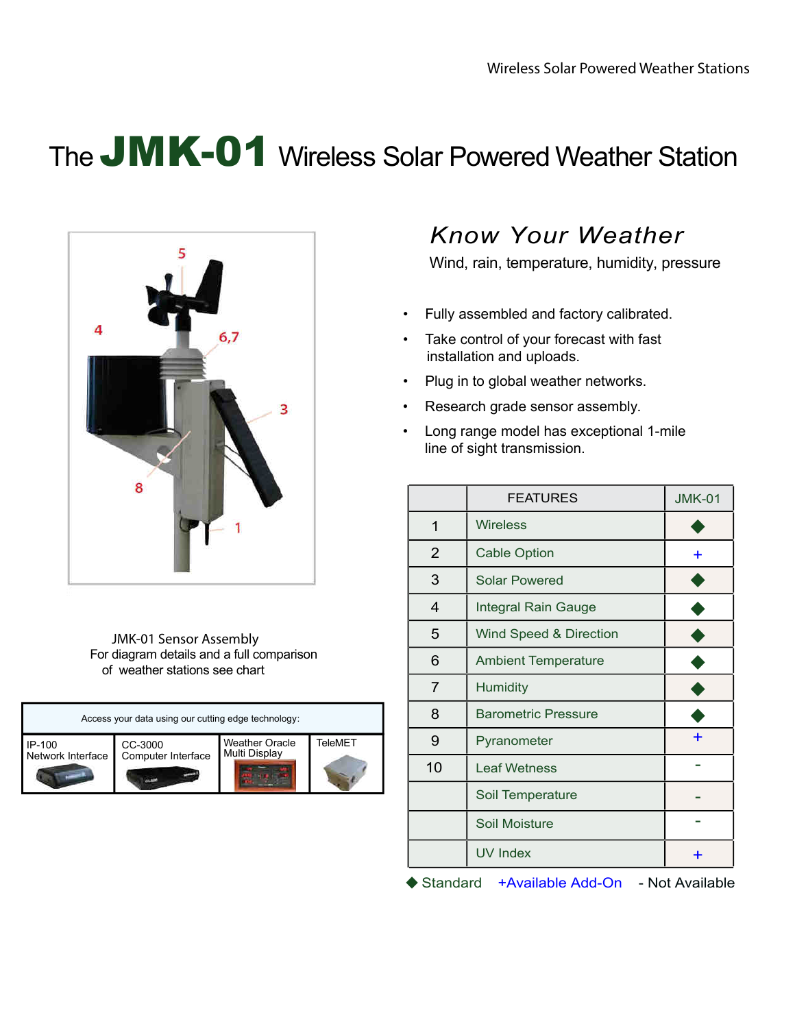# The JMK-01 Wireless Solar Powered Weather Station



JMK-01 Sensor Assembly For diagram details and a full comparison of weather stations see chart

| Access your data using our cutting edge technology: |                    |                       |         |
|-----------------------------------------------------|--------------------|-----------------------|---------|
| IP-100                                              | CC-3000            | <b>Weather Oracle</b> | TeleMET |
| Network Interface                                   | Computer Interface | Multi Display         |         |

### *Know Your Weather*

Wind, rain, temperature, humidity, pressure

- Fully assembled and factory calibrated.
- Take control of your forecast with fast installation and uploads.
- Plug in to global weather networks.
- Research grade sensor assembly.
- Long range model has exceptional 1-mile line of sight transmission.

|                | <b>FEATURES</b>            | <b>JMK-01</b> |
|----------------|----------------------------|---------------|
| 1              | <b>Wireless</b>            |               |
| $\overline{2}$ | <b>Cable Option</b>        |               |
| 3              | <b>Solar Powered</b>       |               |
| $\overline{4}$ | Integral Rain Gauge        |               |
| 5              | Wind Speed & Direction     |               |
| 6              | <b>Ambient Temperature</b> |               |
| $\overline{7}$ | Humidity                   |               |
| 8              | <b>Barometric Pressure</b> |               |
| 9              | Pyranometer                |               |
| 10             | <b>Leaf Wetness</b>        |               |
|                | Soil Temperature           |               |
|                | Soil Moisture              |               |
|                | <b>UV Index</b>            | ٠             |

◆ Standard +Available Add-On - Not Available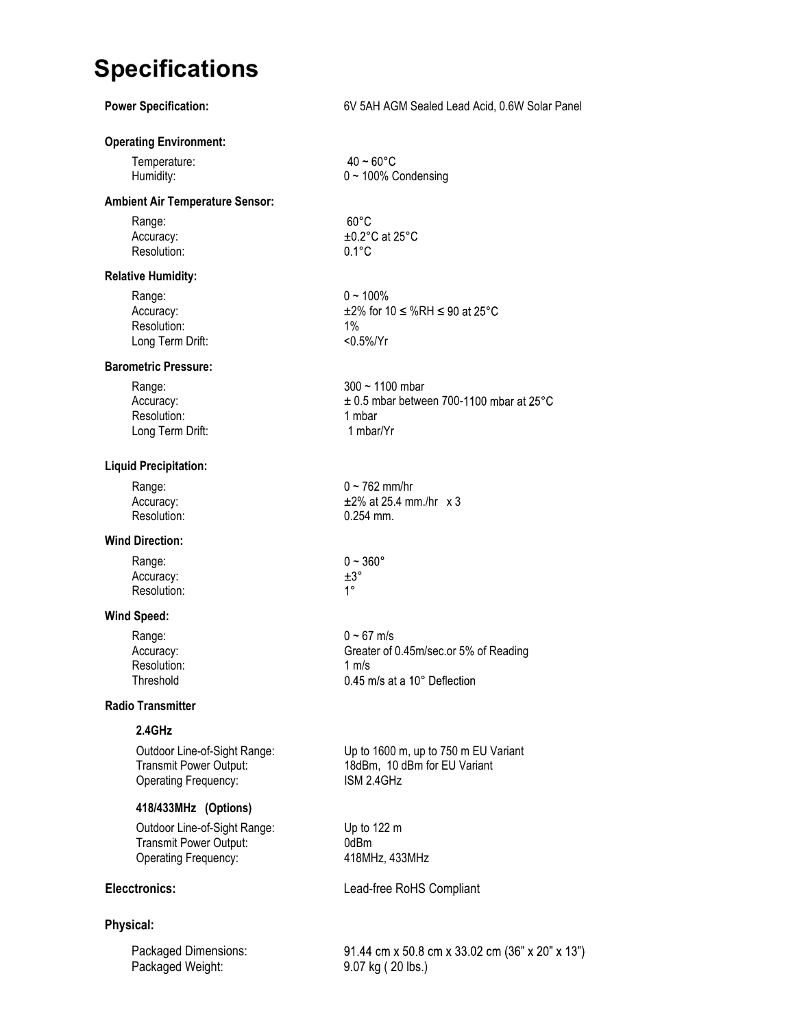## **Specifications**

| <b>Power Specification:</b>                                                           | 6V 5AH AGM Sealed Lead Acid, 0.6W Solar Panel                                                    |
|---------------------------------------------------------------------------------------|--------------------------------------------------------------------------------------------------|
| <b>Operating Environment:</b>                                                         |                                                                                                  |
| Temperature:<br>Humidity:                                                             | $40 - 60^{\circ}$ C<br>$0 \sim 100\%$ Condensing                                                 |
| <b>Ambient Air Temperature Sensor:</b>                                                |                                                                                                  |
| Range:<br>Accuracy:<br>Resolution:                                                    | $60^{\circ}$ C<br>$\pm 0.2$ °C at 25°C<br>$0.1^{\circ}$ C                                        |
| <b>Relative Humidity:</b>                                                             |                                                                                                  |
| Range:<br>Accuracy:<br>Resolution:<br>Long Term Drift:                                | $0 - 100\%$<br>$\pm$ 2% for 10 $\leq$ %RH $\leq$ 90 at 25°C<br>$1\%$<br>$< 0.5\% / Yr$           |
| <b>Barometric Pressure:</b>                                                           |                                                                                                  |
| Range:<br>Accuracy:<br>Resolution:<br>Long Term Drift:                                | $300 - 1100$ mbar<br>$\pm$ 0.5 mbar between 700-1100 mbar at 25°C<br>1 mbar<br>1 mbar/Yr         |
| <b>Liquid Precipitation:</b>                                                          |                                                                                                  |
| Range:<br>Accuracy:<br>Resolution:                                                    | $0 - 762$ mm/hr<br>$±2\%$ at 25.4 mm./hr $\times$ 3<br>0.254 mm.                                 |
| <b>Wind Direction:</b>                                                                |                                                                                                  |
| Range:<br>Accuracy:<br>Resolution:                                                    | $0 - 360^{\circ}$<br>$\pm 3^\circ$<br>$1^{\circ}$                                                |
| <b>Wind Speed:</b>                                                                    |                                                                                                  |
| Range:<br>Accuracy:<br>Resolution:<br>I hreshold                                      | $0 - 67$ m/s<br>Greater of 0.45m/sec.or 5% of Reading<br>1 $m/s$<br>0.45 m/s at a 10° Deflection |
| <b>Radio Transmitter</b>                                                              |                                                                                                  |
| 2.4GHz                                                                                |                                                                                                  |
| Outdoor Line-of-Sight Range:<br>Transmit Power Output:<br>Operating Frequency:        | Up to 1600 m, up to 750 m EU Variant<br>18dBm, 10 dBm for EU Variant<br>ISM 2.4GHz               |
| 418/433MHz (Options)                                                                  |                                                                                                  |
| Outdoor Line-of-Sight Range:<br><b>Transmit Power Output:</b><br>Operating Frequency: | Up to 122 m<br>0dBm<br>418MHz, 433MHz                                                            |
| <b>Elecctronics:</b>                                                                  | Lead-free RoHS Compliant                                                                         |
| Physical:                                                                             |                                                                                                  |
| Packaged Dimensions:<br>Packaged Weight:                                              | 91.44 cm x 50.8 cm x 33.02 cm (36" x 20" x 13")<br>9.07 kg (20 lbs.)                             |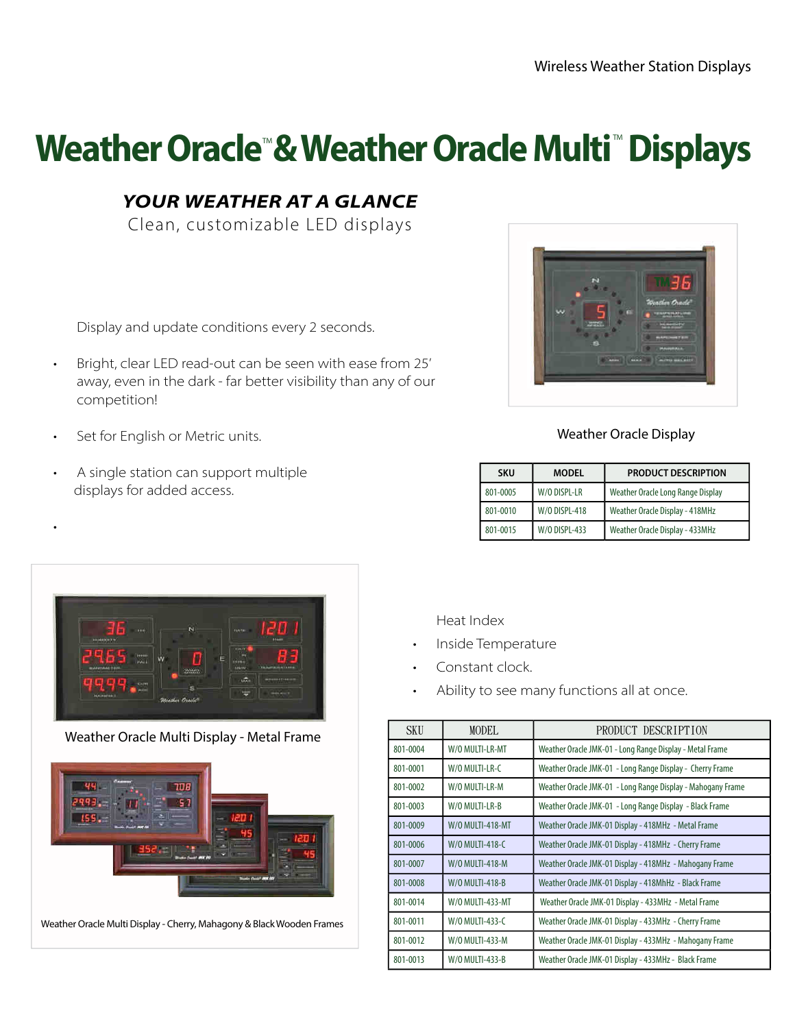# Weather Oracle<sup>®</sup> & Weather Oracle Multi<sup>®</sup> Displays

#### **YOUR WEATHER AT A GLANCE**

Clean, customizable LED displays

Display and update conditions every 2 seconds.

- Bright, clear LED read-out can be seen with ease from 25' away, even in the dark - far better visibility than any of our competition!
- Set for English or Metric units.

•

• A single station can support multiple displays for added access.



#### Weather Oracle Display

| <b>SKU</b> | <b>MODEL</b>         | <b>PRODUCT DESCRIPTION</b>        |
|------------|----------------------|-----------------------------------|
| 801-0005   | W/O DISPL-LR         | Weather Oracle Long Range Display |
| 801-0010   | <b>W/O DISPL-418</b> | Weather Oracle Display - 418MHz   |
| 801-0015   | <b>W/O DISPL-433</b> | Weather Oracle Display - 433MHz   |



Weather Oracle Multi Display - Metal Frame



Weather Oracle Multi Display - Cherry, Mahagony & Black Wooden Frames

Heat Index

- Inside Temperature
- Constant clock.
- Ability to see many functions all at once.

| <b>SKU</b> | MODEL.                  | PRODUCT DESCRIPTION                                         |
|------------|-------------------------|-------------------------------------------------------------|
| 801-0004   | W/O MULTI-LR-MT         | Weather Oracle JMK-01 - Long Range Display - Metal Frame    |
| 801-0001   | W/O MULTI-LR-C          | Weather Oracle JMK-01 - Long Range Display - Cherry Frame   |
| 801-0002   | W/O MULTI-LR-M          | Weather Oracle JMK-01 - Long Range Display - Mahogany Frame |
| 801-0003   | W/O MULTI-LR-B          | Weather Oracle JMK-01 - Long Range Display - Black Frame    |
| 801-0009   | <b>W/0 MULTI-418-MT</b> | Weather Oracle JMK-01 Display - 418MHz - Metal Frame        |
| 801-0006   | <b>W/O MULTI-418-C</b>  | Weather Oracle JMK-01 Display - 418MHz - Cherry Frame       |
| 801-0007   | <b>W/0 MULTI-418-M</b>  | Weather Oracle JMK-01 Display - 418MHz - Mahogany Frame     |
| 801-0008   | <b>W/0 MULTI-418-B</b>  | Weather Oracle JMK-01 Display - 418MhHz - Black Frame       |
| 801-0014   | W/0 MULTI-433-MT        | Weather Oracle JMK-01 Display - 433MHz - Metal Frame        |
| 801-0011   | W/0 MULTI-433-C         | Weather Oracle JMK-01 Display - 433MHz - Cherry Frame       |
| 801-0012   | W/0 MULTI-433-M         | Weather Oracle JMK-01 Display - 433MHz - Mahogany Frame     |
| 801-0013   | W/0 MULTI-433-B         | Weather Oracle JMK-01 Display - 433MHz - Black Frame        |